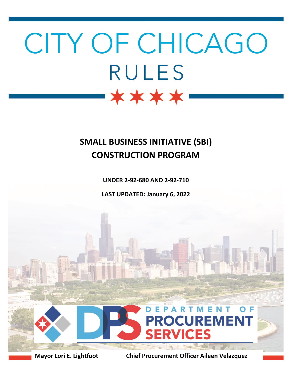# CITY OF CHICAGO **RULES** \*\*\*\*

# **SMALL BUSINESS INITIATIVE (SBI) CONSTRUCTION PROGRAM**

**UNDER 2-92-680 AND 2-92-710**

**LAST UPDATED: January 6, 2022**



**Mayor Lori E. Lightfoot Chief Procurement Officer Aileen Velazquez**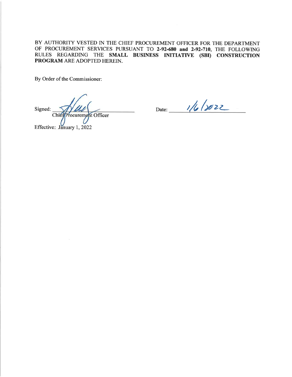BY AUTHORITY VESTED IN THE CHIEF PROCUREMENT OFFICER FOR THE DEPARTMENT OF PROCUREMENT SERVICES PURSUANT TO 2-92-680 and 2-92-710, THE FOLLOWING RULES REGARDING THE SMALL BUSINESS INITIATIVE (SBI) CONSTRUCTION **PROGRAM ARE ADOPTED HEREIN.** 

By Order of the Commissioner:

Signed: Chief Procurement Officer

Date: 1/6/8022

Effective: January 1, 2022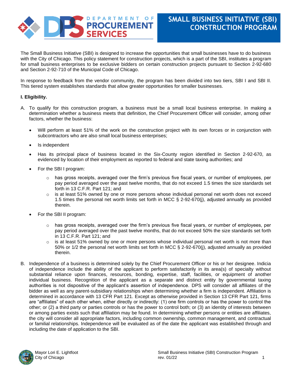

The Small Business Initiative (SBI) is designed to increase the opportunities that small businesses have to do business with the City of Chicago. This policy statement for construction projects, which is a part of the SBI, institutes a program for small business enterprises to be exclusive bidders on certain construction projects pursuant to Section 2-92-680 and Section 2-92-710 of the Municipal Code of Chicago.

In response to feedback from the vendor community, the program has been divided into two tiers, SBI I and SBI II. This tiered system establishes standards that allow greater opportunities for smaller businesses.

#### **I. Eligibility.**

- A. To qualify for this construction program, a business must be a small local business enterprise. In making a determination whether a business meets that definition, the Chief Procurement Officer will consider, among other factors, whether the business:
	- Will perform at least 51% of the work on the construction project with its own forces or in conjunction with subcontractors who are also small local business enterprises;
	- Is independent
	- Has its principal place of business located in the Six-County region identified in Section 2-92-670, as evidenced by location of their employment as reported to federal and state taxing authorities; and
	- For the SBI I program:
		- $\circ$  has gross receipts, averaged over the firm's previous five fiscal years, or number of employees, per pay period averaged over the past twelve months, that do not exceed 1.5 times the size standards set forth in 13 C.F.R. Part 121; and
		- is at least 51% owned by one or more persons whose individual personal net worth does not exceed 1.5 times the personal net worth limits set forth in MCC § 2-92-670(j), adjusted annually as provided therein.
	- For the SBI II program:
		- $\circ$  has gross receipts, averaged over the firm's previous five fiscal years, or number of employees, per pay period averaged over the past twelve months, that do not exceed 50% the size standards set forth in 13 C.F.R. Part 121; and
		- $\circ$  is at least 51% owned by one or more persons whose individual personal net worth is not more than 50% or 1/2 the personal net worth limits set forth in MCC § 2-92-670(j), adjusted annually as provided therein.
- B. Independence of a business is determined solely by the Chief Procurement Officer or his or her designee. Indicia of independence include the ability of the applicant to perform satisfactorily in its area(s) of specialty without substantial reliance upon finances, resources, bonding, expertise, staff, facilities, or equipment of another individual business. Recognition of the applicant as a separate and distinct entity by governmental taxing authorities is not dispositive of the applicant's assertion of independence. DPS will consider all affiliates of the bidder as well as any parent-subsidiary relationships when determining whether a firm is independent. Affiliation is determined in accordance with 13 CFR Part 121. Except as otherwise provided in Section 13 CFR Part 121, firms are "affiliates" of each other when, either directly or indirectly: (1) one firm controls or has the power to control the other; or (2) a third party or parties controls or has the power to control both; or (3) an identity of interests between or among parties exists such that affiliation may be found. In determining whether persons or entities are affiliates, the city will consider all appropriate factors, including common ownership, common management, and contractual or familial relationships. Independence will be evaluated as of the date the applicant was established through and including the date of application to the SBI.

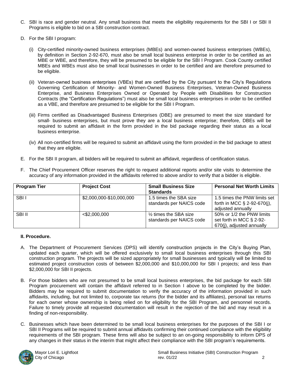- C. SBI is race and gender neutral. Any small business that meets the eligibility requirements for the SBI I or SBI II Programs is eligible to bid on a SBI construction contract.
- D. For the SBI I program:
	- (i) City-certified minority-owned business enterprises (MBEs) and women-owned business enterprises (WBEs), by definition in Section 2-92-670, must also be small local business enterprise in order to be certified as an MBE or WBE, and therefore, they will be presumed to be eligible for the SBI I Program. Cook County certified MBEs and WBEs must also be small local businesses in order to be certified and are therefore presumed to be eligible.
	- (ii) Veteran-owned business enterprises (VBEs) that are certified by the City pursuant to the City's Regulations Governing Certification of Minority- and Women-Owned Business Enterprises, Veteran-Owned Business Enterprise, and Business Enterprises Owned or Operated by People with Disabilities for Construction Contracts (the "Certification Regulations") must also be small local business enterprises in order to be certified as a VBE, and therefore are presumed to be eligible for the SBI I Program.
	- (iii) Firms certified as Disadvantaged Business Enterprises (DBE) are presumed to meet the size standard for small- business enterprises, but must prove they are a local business enterprise; therefore, DBEs will be required to submit an affidavit in the form provided in the bid package regarding their status as a local business enterprise.
	- (iv) All non-certified firms will be required to submit an affidavit using the form provided in the bid package to attest that they are eligible.
- E. For the SBI II program, all bidders will be required to submit an affidavit, regardless of certification status.
- F. The Chief Procurement Officer reserves the right to request additional reports and/or site visits to determine the accuracy of any information provided in the affidavits referred to above and/or to verify that a bidder is eligible.

| <b>Program Tier</b> | <b>Project Cost</b>      | <b>Small Business Size</b>         | <b>Personal Net Worth Limits</b> |
|---------------------|--------------------------|------------------------------------|----------------------------------|
|                     |                          | <b>Standards</b>                   |                                  |
| SBI I               | \$2,000,000-\$10,000,000 | 1.5 times the SBA size             | 1.5 times the PNW limits set     |
|                     |                          | standards per NAICS code           | forth in MCC § 2-92-670(i),      |
|                     |                          |                                    | adjusted annually                |
| SBI II              | $<$ \$2,000,000          | 1/ <sub>2</sub> times the SBA size | 50% or 1/2 the PNW limits        |
|                     |                          | standards per NAICS code           | set forth in MCC § 2-92-         |
|                     |                          |                                    | 670(j), adjusted annually        |

### **II. Procedure.**

- A. The Department of Procurement Services (DPS) will identify construction projects in the City's Buying Plan, updated each quarter, which will be offered exclusively to small local business enterprises through this SBI construction program. The projects will be sized appropriately for small businesses and typically will be limited to estimated project construction costs of between \$2,000,000 and \$10,000,000 for SBI I projects; and less than \$2,000,000 for SBI II projects.
- B. For those bidders who are not presumed to be small local business enterprises, the bid package for each SBI Program procurement will contain the affidavit referred to in Section I above to be completed by the bidder. Bidders may be required to submit documentation to verify the accuracy of the information provided in such affidavits, including, but not limited to, corporate tax returns (for the bidder and its affiliates), personal tax returns for each owner whose ownership is being relied on for eligibility for the SBI Program, and personnel records. Failure to timely provide all requested documentation will result in the rejection of the bid and may result in a finding of non-responsibility.
- C. Businesses which have been determined to be small local business enterprises for the purposes of the SBI I or SBI II Programs will be required to submit annual affidavits confirming their continued compliance with the eligibility requirements of the SBI program. These firms will also be subject to an on-going responsibility to inform DPS of any changes in their status in the interim that might affect their compliance with the SBI program's requirements.